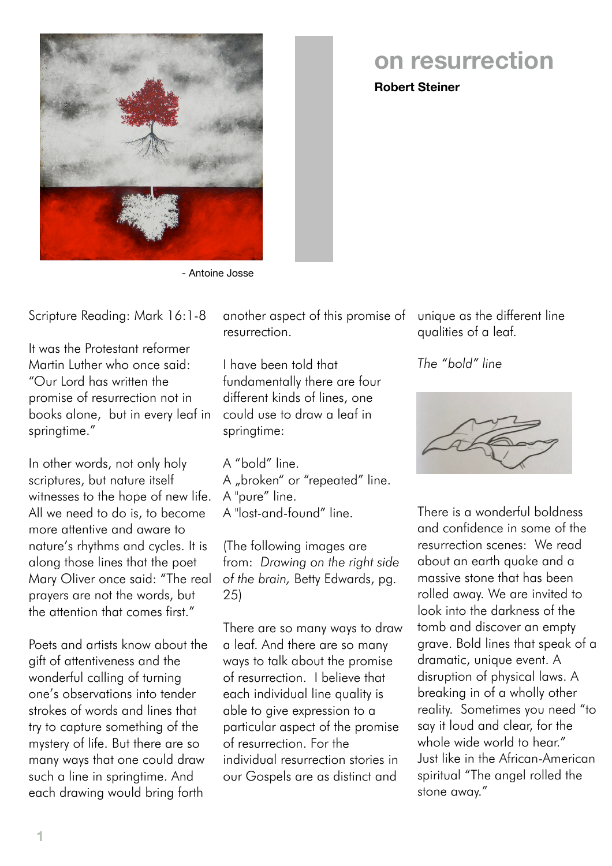

## **on resurrection**

**Robert Steiner**

- Antoine Josse

Scripture Reading: Mark 16:1-8

It was the Protestant reformer Martin Luther who once said: "Our Lord has written the promise of resurrection not in books alone, but in every leaf in springtime."

In other words, not only holy scriptures, but nature itself witnesses to the hope of new life. All we need to do is, to become more attentive and aware to nature's rhythms and cycles. It is along those lines that the poet Mary Oliver once said: "The real prayers are not the words, but the attention that comes first."

Poets and artists know about the gift of attentiveness and the wonderful calling of turning one's observations into tender strokes of words and lines that try to capture something of the mystery of life. But there are so many ways that one could draw such a line in springtime. And each drawing would bring forth

another aspect of this promise of unique as the different line resurrection.

I have been told that fundamentally there are four different kinds of lines, one could use to draw a leaf in springtime:

A "bold" line.

- A "broken" or "repeated" line.
- A "pure" line.

A "lost-and-found" line.

(The following images are from: *Drawing on the right side of the brain,* Betty Edwards, pg. 25)

There are so many ways to draw a leaf. And there are so many ways to talk about the promise of resurrection. I believe that each individual line quality is able to give expression to a particular aspect of the promise of resurrection. For the individual resurrection stories in our Gospels are as distinct and

qualities of a leaf.

*The "bold" line*



There is a wonderful boldness and confidence in some of the resurrection scenes: We read about an earth quake and a massive stone that has been rolled away. We are invited to look into the darkness of the tomb and discover an empty grave. Bold lines that speak of a dramatic, unique event. A disruption of physical laws. A breaking in of a wholly other reality. Sometimes you need "to say it loud and clear, for the whole wide world to hear." Just like in the African-American spiritual "The angel rolled the stone away."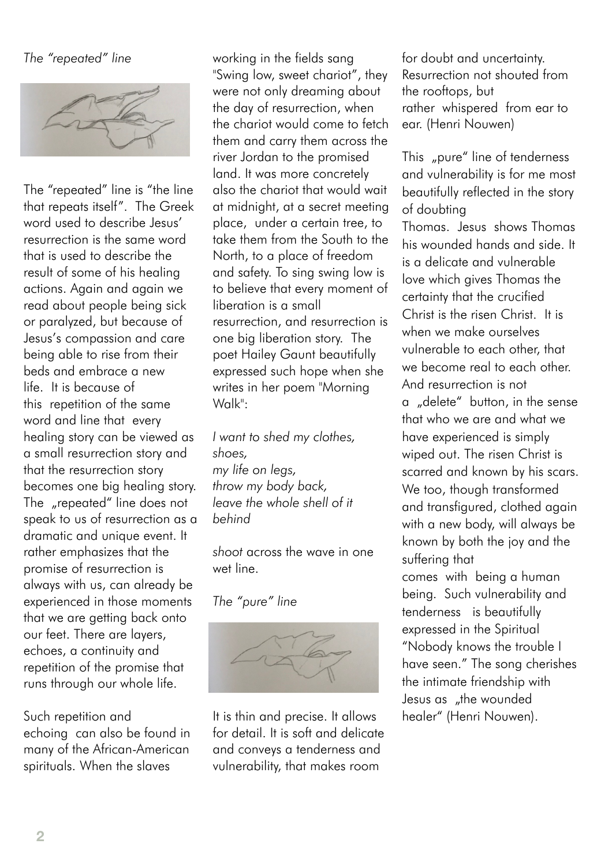## *The "repeated" line*



The "repeated" line is "the line that repeats itself". The Greek word used to describe Jesus' resurrection is the same word that is used to describe the result of some of his healing actions. Again and again we read about people being sick or paralyzed, but because of Jesus's compassion and care being able to rise from their beds and embrace a new life. It is because of this repetition of the same word and line that every healing story can be viewed as a small resurrection story and that the resurrection story becomes one big healing story. The "repeated" line does not speak to us of resurrection as a dramatic and unique event. It rather emphasizes that the promise of resurrection is always with us, can already be experienced in those moments that we are getting back onto our feet. There are layers, echoes, a continuity and repetition of the promise that runs through our whole life.

Such repetition and echoing can also be found in many of the African-American spirituals. When the slaves

working in the fields sang "Swing low, sweet chariot", they were not only dreaming about the day of resurrection, when the chariot would come to fetch them and carry them across the river Jordan to the promised land. It was more concretely also the chariot that would wait at midnight, at a secret meeting place, under a certain tree, to take them from the South to the North, to a place of freedom and safety. To sing swing low is to believe that every moment of liberation is a small resurrection, and resurrection is one big liberation story. The poet Hailey Gaunt beautifully expressed such hope when she writes in her poem "Morning Walk":

*I want to shed my clothes, shoes, my life on legs, throw my body back, leave the whole shell of it behind*

*shoot* across the wave in one wet line.

## *The "pure" line*



It is thin and precise. It allows for detail. It is soft and delicate and conveys a tenderness and vulnerability, that makes room

for doubt and uncertainty. Resurrection not shouted from the rooftops, but rather whispered from ear to ear. (Henri Nouwen)

This "pure" line of tenderness and vulnerability is for me most beautifully reflected in the story of doubting Thomas. Jesus shows Thomas his wounded hands and side. It is a delicate and vulnerable love which gives Thomas the certainty that the crucified Christ is the risen Christ. It is when we make ourselves vulnerable to each other, that we become real to each other. And resurrection is not a "delete" button, in the sense that who we are and what we have experienced is simply wiped out. The risen Christ is scarred and known by his scars. We too, though transformed and transfigured, clothed again with a new body, will always be known by both the joy and the suffering that comes with being a human being. Such vulnerability and tenderness is beautifully expressed in the Spiritual "Nobody knows the trouble I have seen." The song cherishes the intimate friendship with Jesus as "the wounded healer" (Henri Nouwen).